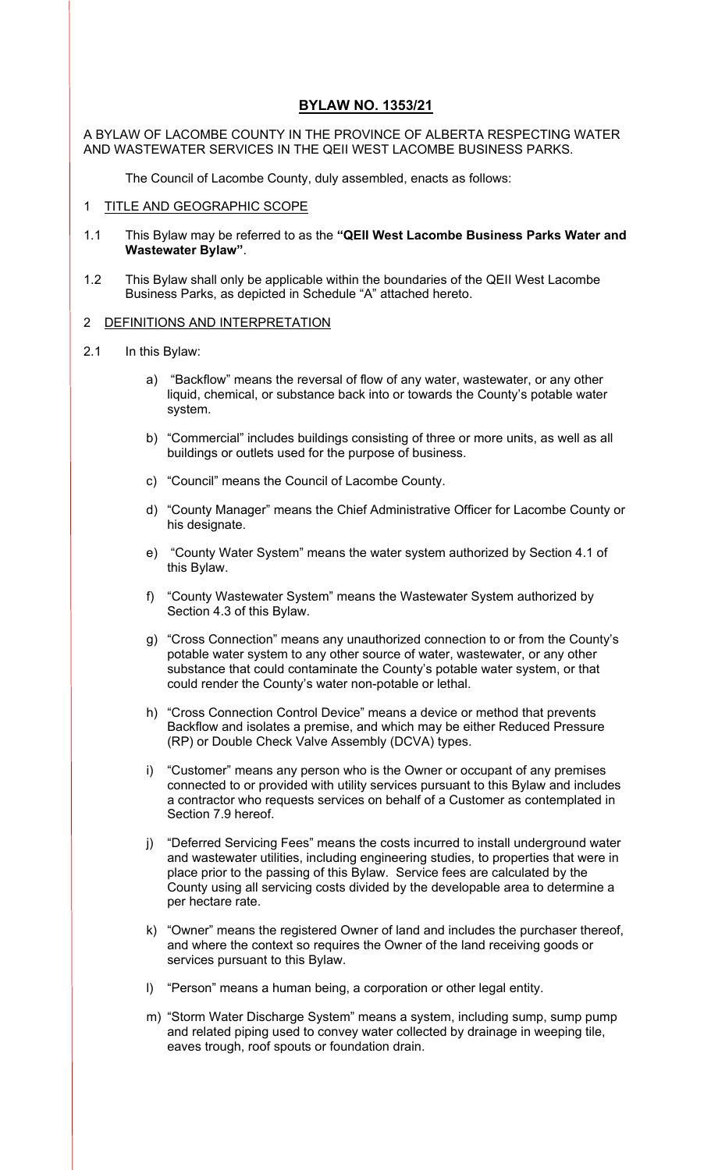# **BYLAW NO. 1353/21**

A BYLAW OF LACOMBE COUNTY IN THE PROVINCE OF ALBERTA RESPECTING WATER AND WASTEWATER SERVICES IN THE QEII WEST LACOMBE BUSINESS PARKS.

The Council of Lacombe County, duly assembled, enacts as follows:

### 1 TITLE AND GEOGRAPHIC SCOPE

- 1.1 This Bylaw may be referred to as the **"QEII West Lacombe Business Parks Water and Wastewater Bylaw"**.
- 1.2 This Bylaw shall only be applicable within the boundaries of the QEII West Lacombe Business Parks, as depicted in Schedule "A" attached hereto.

### 2 DEFINITIONS AND INTERPRETATION

- 2.1 In this Bylaw:
	- a) "Backflow" means the reversal of flow of any water, wastewater, or any other liquid, chemical, or substance back into or towards the County's potable water system.
	- b) "Commercial" includes buildings consisting of three or more units, as well as all buildings or outlets used for the purpose of business.
	- c) "Council" means the Council of Lacombe County.
	- d) "County Manager" means the Chief Administrative Officer for Lacombe County or his designate.
	- e) "County Water System" means the water system authorized by Section 4.1 of this Bylaw.
	- f) "County Wastewater System" means the Wastewater System authorized by Section 4.3 of this Bylaw.
	- g) "Cross Connection" means any unauthorized connection to or from the County's potable water system to any other source of water, wastewater, or any other substance that could contaminate the County's potable water system, or that could render the County's water non-potable or lethal.
	- h) "Cross Connection Control Device" means a device or method that prevents Backflow and isolates a premise, and which may be either Reduced Pressure (RP) or Double Check Valve Assembly (DCVA) types.
	- i) "Customer" means any person who is the Owner or occupant of any premises connected to or provided with utility services pursuant to this Bylaw and includes a contractor who requests services on behalf of a Customer as contemplated in Section 7.9 hereof.
	- j) "Deferred Servicing Fees" means the costs incurred to install underground water and wastewater utilities, including engineering studies, to properties that were in place prior to the passing of this Bylaw. Service fees are calculated by the County using all servicing costs divided by the developable area to determine a per hectare rate.
	- k) "Owner" means the registered Owner of land and includes the purchaser thereof, and where the context so requires the Owner of the land receiving goods or services pursuant to this Bylaw.
	- l) "Person" means a human being, a corporation or other legal entity.
	- m) "Storm Water Discharge System" means a system, including sump, sump pump and related piping used to convey water collected by drainage in weeping tile, eaves trough, roof spouts or foundation drain.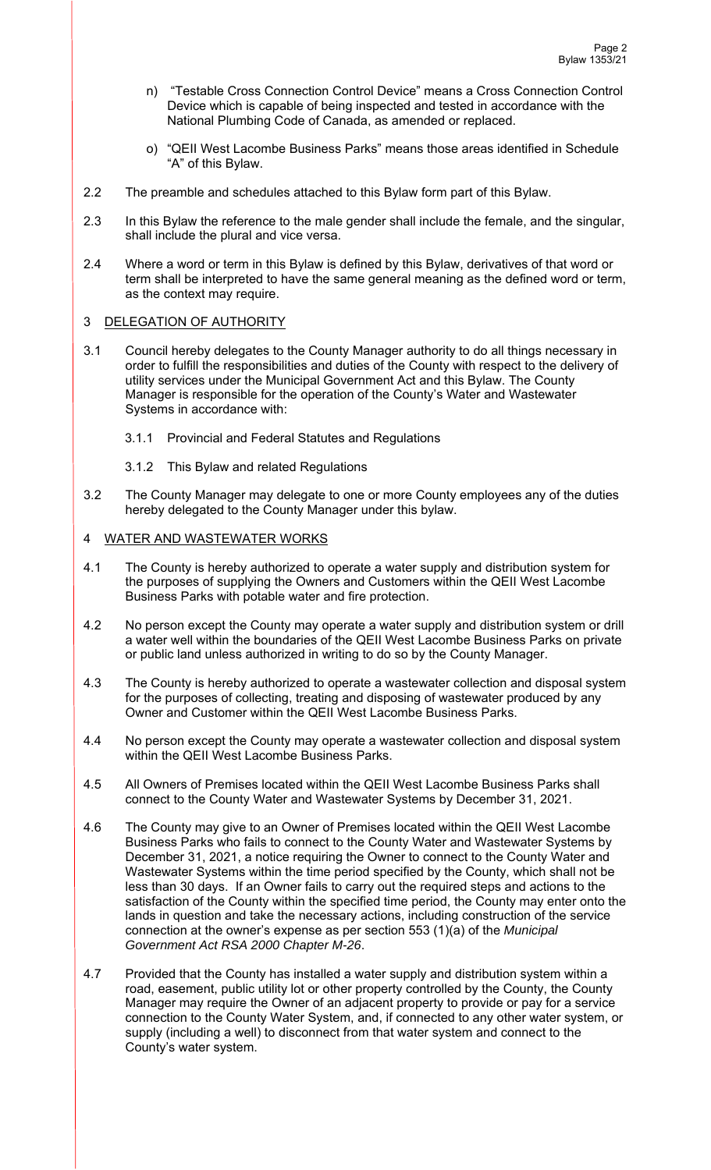- n) "Testable Cross Connection Control Device" means a Cross Connection Control Device which is capable of being inspected and tested in accordance with the National Plumbing Code of Canada, as amended or replaced.
- o) "QEII West Lacombe Business Parks" means those areas identified in Schedule "A" of this Bylaw.
- 2.2 The preamble and schedules attached to this Bylaw form part of this Bylaw.
- 2.3 In this Bylaw the reference to the male gender shall include the female, and the singular, shall include the plural and vice versa.
- 2.4 Where a word or term in this Bylaw is defined by this Bylaw, derivatives of that word or term shall be interpreted to have the same general meaning as the defined word or term, as the context may require.

### 3 DELEGATION OF AUTHORITY

- 3.1 Council hereby delegates to the County Manager authority to do all things necessary in order to fulfill the responsibilities and duties of the County with respect to the delivery of utility services under the Municipal Government Act and this Bylaw. The County Manager is responsible for the operation of the County's Water and Wastewater Systems in accordance with:
	- 3.1.1 Provincial and Federal Statutes and Regulations
	- 3.1.2 This Bylaw and related Regulations
- 3.2 The County Manager may delegate to one or more County employees any of the duties hereby delegated to the County Manager under this bylaw.

### 4 WATER AND WASTEWATER WORKS

- 4.1 The County is hereby authorized to operate a water supply and distribution system for the purposes of supplying the Owners and Customers within the QEII West Lacombe Business Parks with potable water and fire protection.
- 4.2 No person except the County may operate a water supply and distribution system or drill a water well within the boundaries of the QEII West Lacombe Business Parks on private or public land unless authorized in writing to do so by the County Manager.
- 4.3 The County is hereby authorized to operate a wastewater collection and disposal system for the purposes of collecting, treating and disposing of wastewater produced by any Owner and Customer within the QEII West Lacombe Business Parks.
- 4.4 No person except the County may operate a wastewater collection and disposal system within the QEII West Lacombe Business Parks.
- 4.5 All Owners of Premises located within the QEII West Lacombe Business Parks shall connect to the County Water and Wastewater Systems by December 31, 2021.
- 4.6 The County may give to an Owner of Premises located within the QEII West Lacombe Business Parks who fails to connect to the County Water and Wastewater Systems by December 31, 2021, a notice requiring the Owner to connect to the County Water and Wastewater Systems within the time period specified by the County, which shall not be less than 30 days. If an Owner fails to carry out the required steps and actions to the satisfaction of the County within the specified time period, the County may enter onto the lands in question and take the necessary actions, including construction of the service connection at the owner's expense as per section 553 (1)(a) of the *Municipal Government Act RSA 2000 Chapter M-26*.
- 4.7 Provided that the County has installed a water supply and distribution system within a road, easement, public utility lot or other property controlled by the County, the County Manager may require the Owner of an adjacent property to provide or pay for a service connection to the County Water System, and, if connected to any other water system, or supply (including a well) to disconnect from that water system and connect to the County's water system.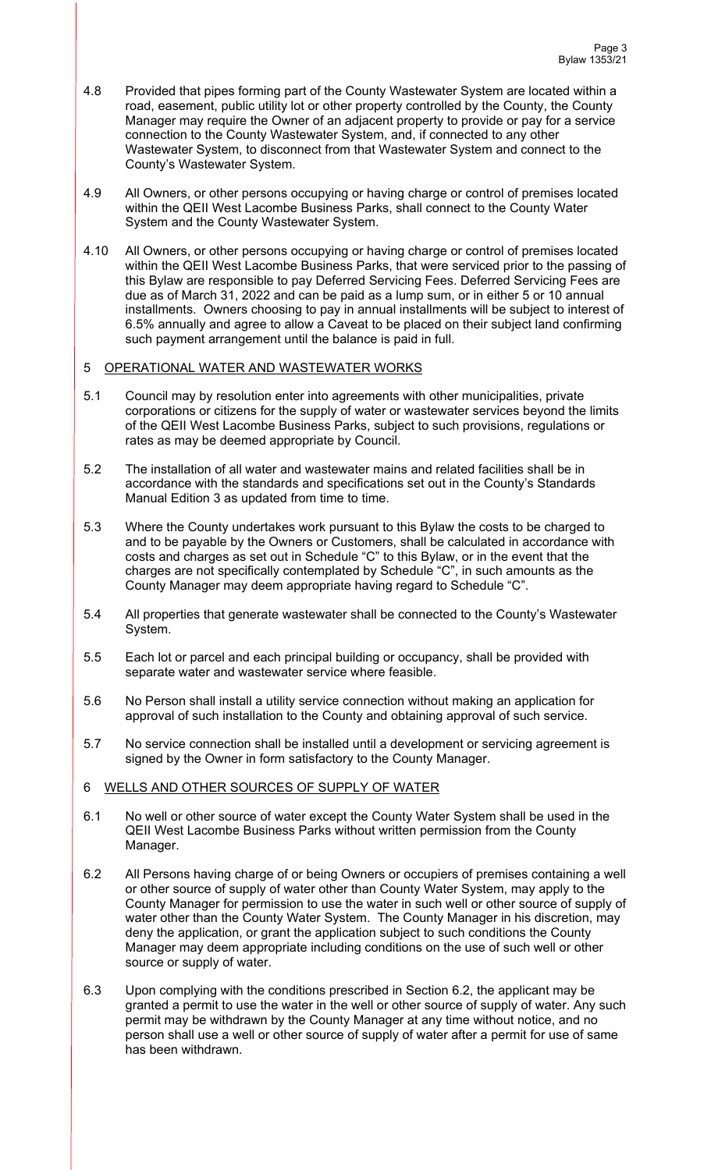- 4.8 Provided that pipes forming part of the County Wastewater System are located within a road, easement, public utility lot or other property controlled by the County, the County Manager may require the Owner of an adjacent property to provide or pay for a service connection to the County Wastewater System, and, if connected to any other Wastewater System, to disconnect from that Wastewater System and connect to the County's Wastewater System.
- 4.9 All Owners, or other persons occupying or having charge or control of premises located within the QEII West Lacombe Business Parks, shall connect to the County Water System and the County Wastewater System.
- 4.10 All Owners, or other persons occupying or having charge or control of premises located within the QEII West Lacombe Business Parks, that were serviced prior to the passing of this Bylaw are responsible to pay Deferred Servicing Fees. Deferred Servicing Fees are due as of March 31, 2022 and can be paid as a lump sum, or in either 5 or 10 annual installments. Owners choosing to pay in annual installments will be subject to interest of 6.5% annually and agree to allow a Caveat to be placed on their subject land confirming such payment arrangement until the balance is paid in full.

## 5 OPERATIONAL WATER AND WASTEWATER WORKS

- 5.1 Council may by resolution enter into agreements with other municipalities, private corporations or citizens for the supply of water or wastewater services beyond the limits of the QEII West Lacombe Business Parks, subject to such provisions, regulations or rates as may be deemed appropriate by Council.
- 5.2 The installation of all water and wastewater mains and related facilities shall be in accordance with the standards and specifications set out in the County's Standards Manual Edition 3 as updated from time to time.
- 5.3 Where the County undertakes work pursuant to this Bylaw the costs to be charged to and to be payable by the Owners or Customers, shall be calculated in accordance with costs and charges as set out in Schedule "C" to this Bylaw, or in the event that the charges are not specifically contemplated by Schedule "C", in such amounts as the County Manager may deem appropriate having regard to Schedule "C".
- 5.4 All properties that generate wastewater shall be connected to the County's Wastewater System.
- 5.5 Each lot or parcel and each principal building or occupancy, shall be provided with separate water and wastewater service where feasible.
- 5.6 No Person shall install a utility service connection without making an application for approval of such installation to the County and obtaining approval of such service.
- 5.7 No service connection shall be installed until a development or servicing agreement is signed by the Owner in form satisfactory to the County Manager.

## 6 WELLS AND OTHER SOURCES OF SUPPLY OF WATER

- 6.1 No well or other source of water except the County Water System shall be used in the QEII West Lacombe Business Parks without written permission from the County Manager.
- 6.2 All Persons having charge of or being Owners or occupiers of premises containing a well or other source of supply of water other than County Water System, may apply to the County Manager for permission to use the water in such well or other source of supply of water other than the County Water System. The County Manager in his discretion, may deny the application, or grant the application subject to such conditions the County Manager may deem appropriate including conditions on the use of such well or other source or supply of water.
- 6.3 Upon complying with the conditions prescribed in Section 6.2, the applicant may be granted a permit to use the water in the well or other source of supply of water. Any such permit may be withdrawn by the County Manager at any time without notice, and no person shall use a well or other source of supply of water after a permit for use of same has been withdrawn.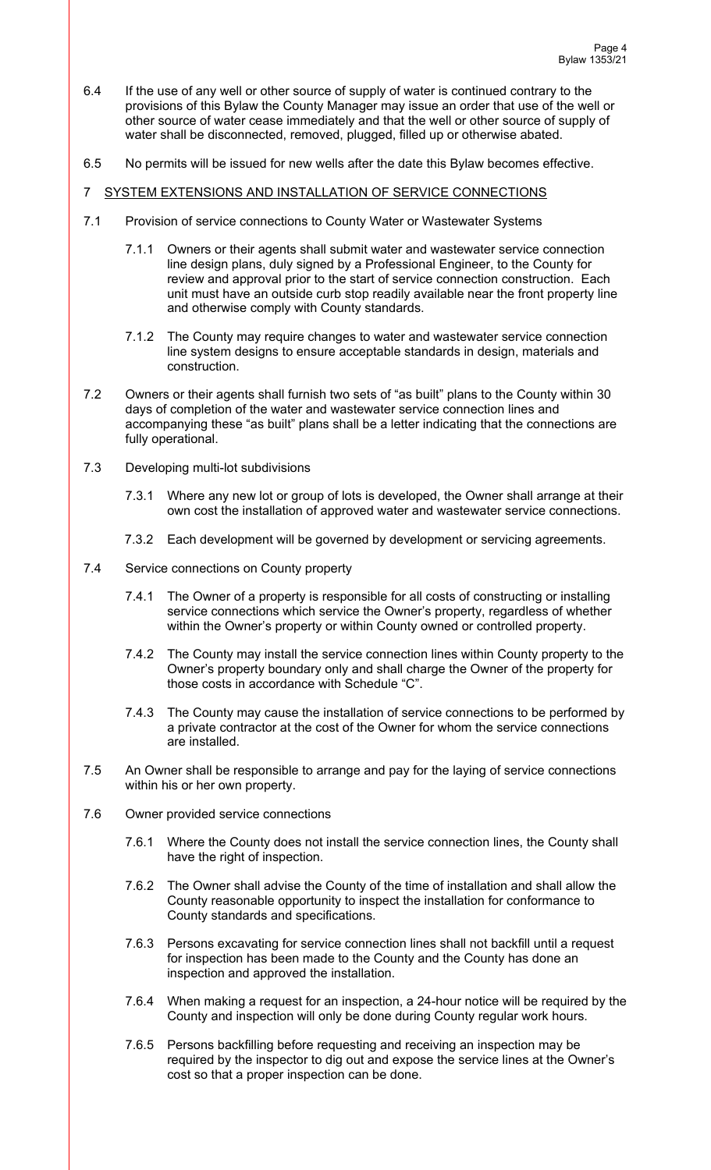- 6.4 If the use of any well or other source of supply of water is continued contrary to the provisions of this Bylaw the County Manager may issue an order that use of the well or other source of water cease immediately and that the well or other source of supply of water shall be disconnected, removed, plugged, filled up or otherwise abated.
- 6.5 No permits will be issued for new wells after the date this Bylaw becomes effective.
- 7 SYSTEM EXTENSIONS AND INSTALLATION OF SERVICE CONNECTIONS
- 7.1 Provision of service connections to County Water or Wastewater Systems
	- 7.1.1 Owners or their agents shall submit water and wastewater service connection line design plans, duly signed by a Professional Engineer, to the County for review and approval prior to the start of service connection construction. Each unit must have an outside curb stop readily available near the front property line and otherwise comply with County standards.
	- 7.1.2 The County may require changes to water and wastewater service connection line system designs to ensure acceptable standards in design, materials and construction.
- 7.2 Owners or their agents shall furnish two sets of "as built" plans to the County within 30 days of completion of the water and wastewater service connection lines and accompanying these "as built" plans shall be a letter indicating that the connections are fully operational.
- 7.3 Developing multi-lot subdivisions
	- 7.3.1 Where any new lot or group of lots is developed, the Owner shall arrange at their own cost the installation of approved water and wastewater service connections.
	- 7.3.2 Each development will be governed by development or servicing agreements.
- 7.4 Service connections on County property
	- 7.4.1 The Owner of a property is responsible for all costs of constructing or installing service connections which service the Owner's property, regardless of whether within the Owner's property or within County owned or controlled property.
	- 7.4.2 The County may install the service connection lines within County property to the Owner's property boundary only and shall charge the Owner of the property for those costs in accordance with Schedule "C".
	- 7.4.3 The County may cause the installation of service connections to be performed by a private contractor at the cost of the Owner for whom the service connections are installed.
- 7.5 An Owner shall be responsible to arrange and pay for the laying of service connections within his or her own property.
- 7.6 Owner provided service connections
	- 7.6.1 Where the County does not install the service connection lines, the County shall have the right of inspection.
	- 7.6.2 The Owner shall advise the County of the time of installation and shall allow the County reasonable opportunity to inspect the installation for conformance to County standards and specifications.
	- 7.6.3 Persons excavating for service connection lines shall not backfill until a request for inspection has been made to the County and the County has done an inspection and approved the installation.
	- 7.6.4 When making a request for an inspection, a 24-hour notice will be required by the County and inspection will only be done during County regular work hours.
	- 7.6.5 Persons backfilling before requesting and receiving an inspection may be required by the inspector to dig out and expose the service lines at the Owner's cost so that a proper inspection can be done.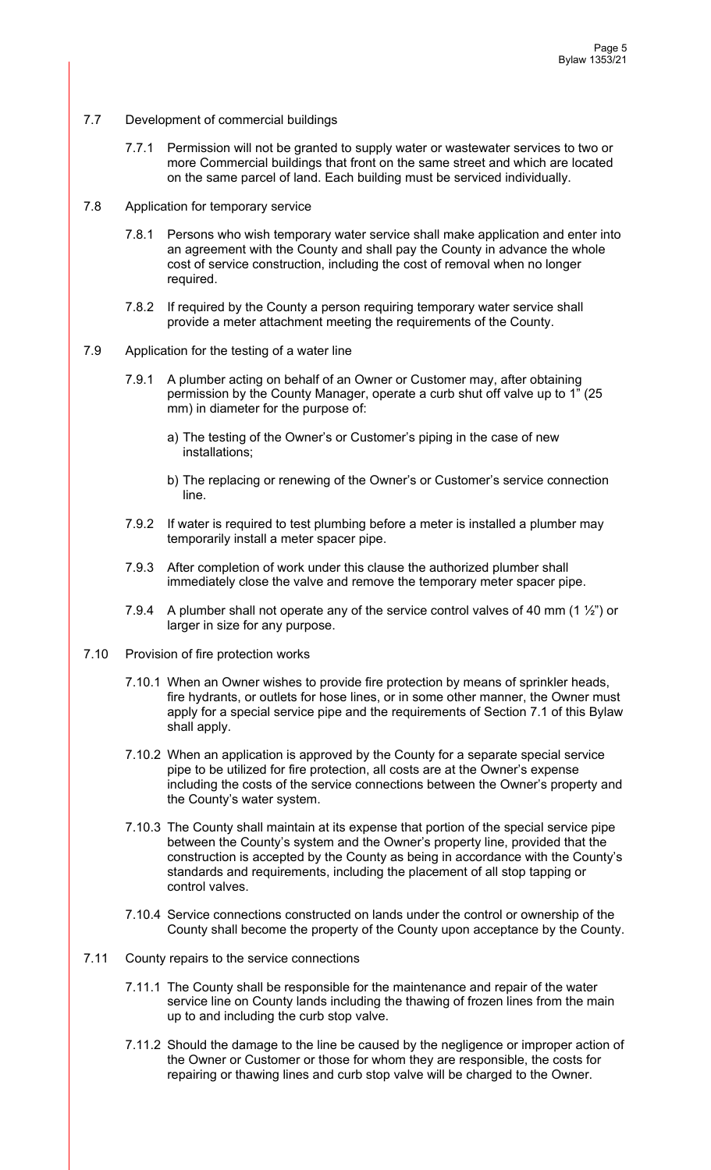- 7.7 Development of commercial buildings
	- 7.7.1 Permission will not be granted to supply water or wastewater services to two or more Commercial buildings that front on the same street and which are located on the same parcel of land. Each building must be serviced individually.
- 7.8 Application for temporary service
	- 7.8.1 Persons who wish temporary water service shall make application and enter into an agreement with the County and shall pay the County in advance the whole cost of service construction, including the cost of removal when no longer required.
	- 7.8.2 If required by the County a person requiring temporary water service shall provide a meter attachment meeting the requirements of the County.
- 7.9 Application for the testing of a water line
	- 7.9.1 A plumber acting on behalf of an Owner or Customer may, after obtaining permission by the County Manager, operate a curb shut off valve up to 1" (25 mm) in diameter for the purpose of:
		- a) The testing of the Owner's or Customer's piping in the case of new installations;
		- b) The replacing or renewing of the Owner's or Customer's service connection line.
	- 7.9.2 If water is required to test plumbing before a meter is installed a plumber may temporarily install a meter spacer pipe.
	- 7.9.3 After completion of work under this clause the authorized plumber shall immediately close the valve and remove the temporary meter spacer pipe.
	- 7.9.4 A plumber shall not operate any of the service control valves of 40 mm (1  $\frac{1}{2}$ ") or larger in size for any purpose.
- 7.10 Provision of fire protection works
	- 7.10.1 When an Owner wishes to provide fire protection by means of sprinkler heads, fire hydrants, or outlets for hose lines, or in some other manner, the Owner must apply for a special service pipe and the requirements of Section 7.1 of this Bylaw shall apply.
	- 7.10.2 When an application is approved by the County for a separate special service pipe to be utilized for fire protection, all costs are at the Owner's expense including the costs of the service connections between the Owner's property and the County's water system.
	- 7.10.3 The County shall maintain at its expense that portion of the special service pipe between the County's system and the Owner's property line, provided that the construction is accepted by the County as being in accordance with the County's standards and requirements, including the placement of all stop tapping or control valves.
	- 7.10.4 Service connections constructed on lands under the control or ownership of the County shall become the property of the County upon acceptance by the County.
- 7.11 County repairs to the service connections
	- 7.11.1 The County shall be responsible for the maintenance and repair of the water service line on County lands including the thawing of frozen lines from the main up to and including the curb stop valve.
	- 7.11.2 Should the damage to the line be caused by the negligence or improper action of the Owner or Customer or those for whom they are responsible, the costs for repairing or thawing lines and curb stop valve will be charged to the Owner.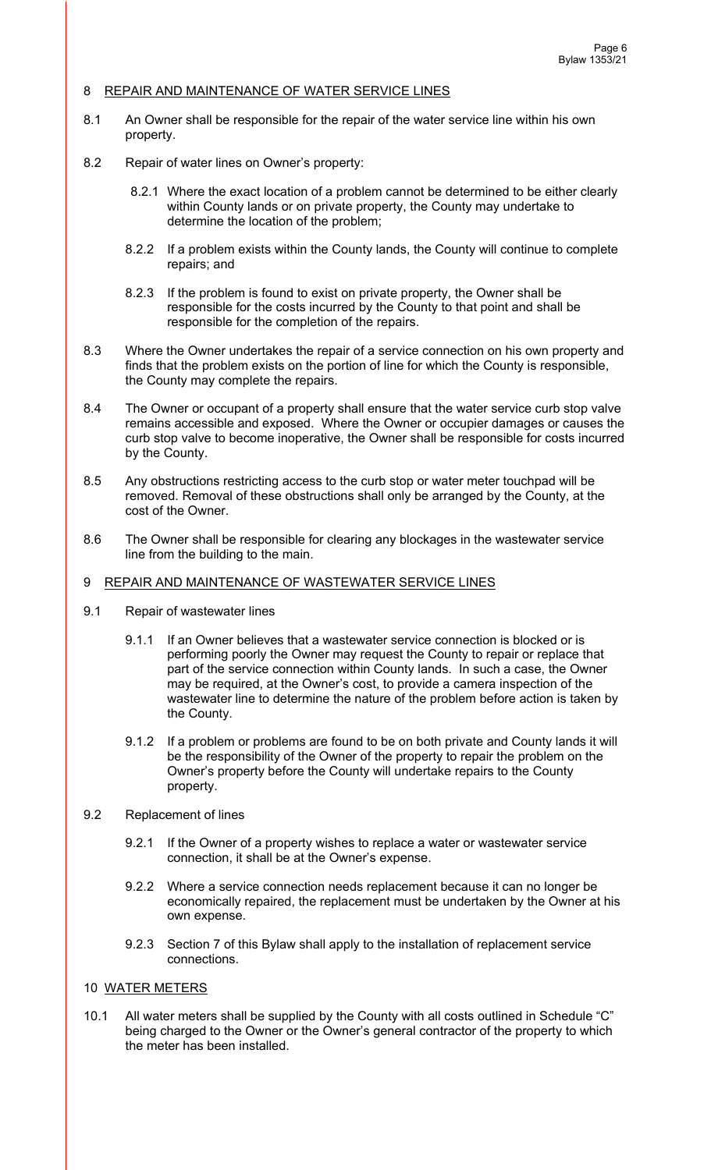### 8 REPAIR AND MAINTENANCE OF WATER SERVICE LINES

- 8.1 An Owner shall be responsible for the repair of the water service line within his own property.
- 8.2 Repair of water lines on Owner's property:
	- 8.2.1 Where the exact location of a problem cannot be determined to be either clearly within County lands or on private property, the County may undertake to determine the location of the problem;
	- 8.2.2 If a problem exists within the County lands, the County will continue to complete repairs; and
	- 8.2.3 If the problem is found to exist on private property, the Owner shall be responsible for the costs incurred by the County to that point and shall be responsible for the completion of the repairs.
- 8.3 Where the Owner undertakes the repair of a service connection on his own property and finds that the problem exists on the portion of line for which the County is responsible, the County may complete the repairs.
- 8.4 The Owner or occupant of a property shall ensure that the water service curb stop valve remains accessible and exposed. Where the Owner or occupier damages or causes the curb stop valve to become inoperative, the Owner shall be responsible for costs incurred by the County.
- 8.5 Any obstructions restricting access to the curb stop or water meter touchpad will be removed. Removal of these obstructions shall only be arranged by the County, at the cost of the Owner.
- 8.6 The Owner shall be responsible for clearing any blockages in the wastewater service line from the building to the main.

### 9 REPAIR AND MAINTENANCE OF WASTEWATER SERVICE LINES

- 9.1 Repair of wastewater lines
	- 9.1.1 If an Owner believes that a wastewater service connection is blocked or is performing poorly the Owner may request the County to repair or replace that part of the service connection within County lands. In such a case, the Owner may be required, at the Owner's cost, to provide a camera inspection of the wastewater line to determine the nature of the problem before action is taken by the County.
	- 9.1.2 If a problem or problems are found to be on both private and County lands it will be the responsibility of the Owner of the property to repair the problem on the Owner's property before the County will undertake repairs to the County property.
- 9.2 Replacement of lines
	- 9.2.1 If the Owner of a property wishes to replace a water or wastewater service connection, it shall be at the Owner's expense.
	- 9.2.2 Where a service connection needs replacement because it can no longer be economically repaired, the replacement must be undertaken by the Owner at his own expense.
	- 9.2.3 Section 7 of this Bylaw shall apply to the installation of replacement service connections.

#### 10 WATER METERS

10.1 All water meters shall be supplied by the County with all costs outlined in Schedule "C" being charged to the Owner or the Owner's general contractor of the property to which the meter has been installed.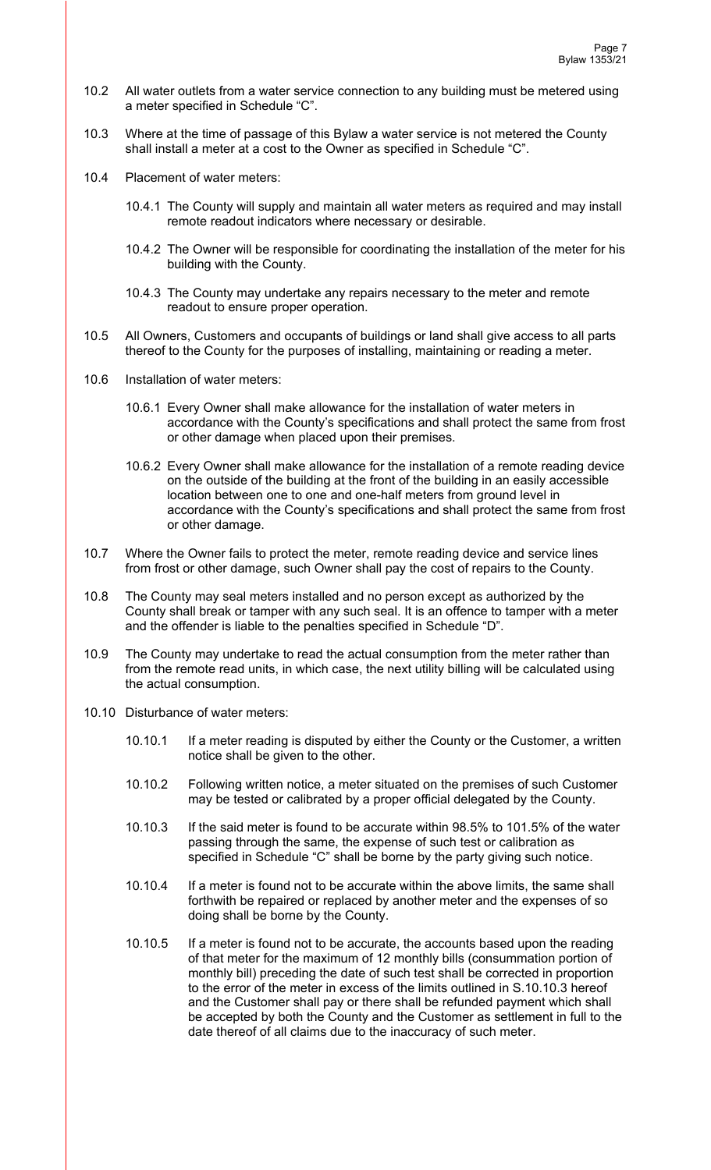- 10.2 All water outlets from a water service connection to any building must be metered using a meter specified in Schedule "C".
- 10.3 Where at the time of passage of this Bylaw a water service is not metered the County shall install a meter at a cost to the Owner as specified in Schedule "C".
- 10.4 Placement of water meters:
	- 10.4.1 The County will supply and maintain all water meters as required and may install remote readout indicators where necessary or desirable.
	- 10.4.2 The Owner will be responsible for coordinating the installation of the meter for his building with the County.
	- 10.4.3 The County may undertake any repairs necessary to the meter and remote readout to ensure proper operation.
- 10.5 All Owners, Customers and occupants of buildings or land shall give access to all parts thereof to the County for the purposes of installing, maintaining or reading a meter.
- 10.6 Installation of water meters:
	- 10.6.1 Every Owner shall make allowance for the installation of water meters in accordance with the County's specifications and shall protect the same from frost or other damage when placed upon their premises.
	- 10.6.2 Every Owner shall make allowance for the installation of a remote reading device on the outside of the building at the front of the building in an easily accessible location between one to one and one-half meters from ground level in accordance with the County's specifications and shall protect the same from frost or other damage.
- 10.7 Where the Owner fails to protect the meter, remote reading device and service lines from frost or other damage, such Owner shall pay the cost of repairs to the County.
- 10.8 The County may seal meters installed and no person except as authorized by the County shall break or tamper with any such seal. It is an offence to tamper with a meter and the offender is liable to the penalties specified in Schedule "D".
- 10.9 The County may undertake to read the actual consumption from the meter rather than from the remote read units, in which case, the next utility billing will be calculated using the actual consumption.
- 10.10 Disturbance of water meters:
	- 10.10.1 If a meter reading is disputed by either the County or the Customer, a written notice shall be given to the other.
	- 10.10.2 Following written notice, a meter situated on the premises of such Customer may be tested or calibrated by a proper official delegated by the County.
	- 10.10.3 If the said meter is found to be accurate within 98.5% to 101.5% of the water passing through the same, the expense of such test or calibration as specified in Schedule "C" shall be borne by the party giving such notice.
	- 10.10.4 If a meter is found not to be accurate within the above limits, the same shall forthwith be repaired or replaced by another meter and the expenses of so doing shall be borne by the County.
	- 10.10.5 If a meter is found not to be accurate, the accounts based upon the reading of that meter for the maximum of 12 monthly bills (consummation portion of monthly bill) preceding the date of such test shall be corrected in proportion to the error of the meter in excess of the limits outlined in S.10.10.3 hereof and the Customer shall pay or there shall be refunded payment which shall be accepted by both the County and the Customer as settlement in full to the date thereof of all claims due to the inaccuracy of such meter.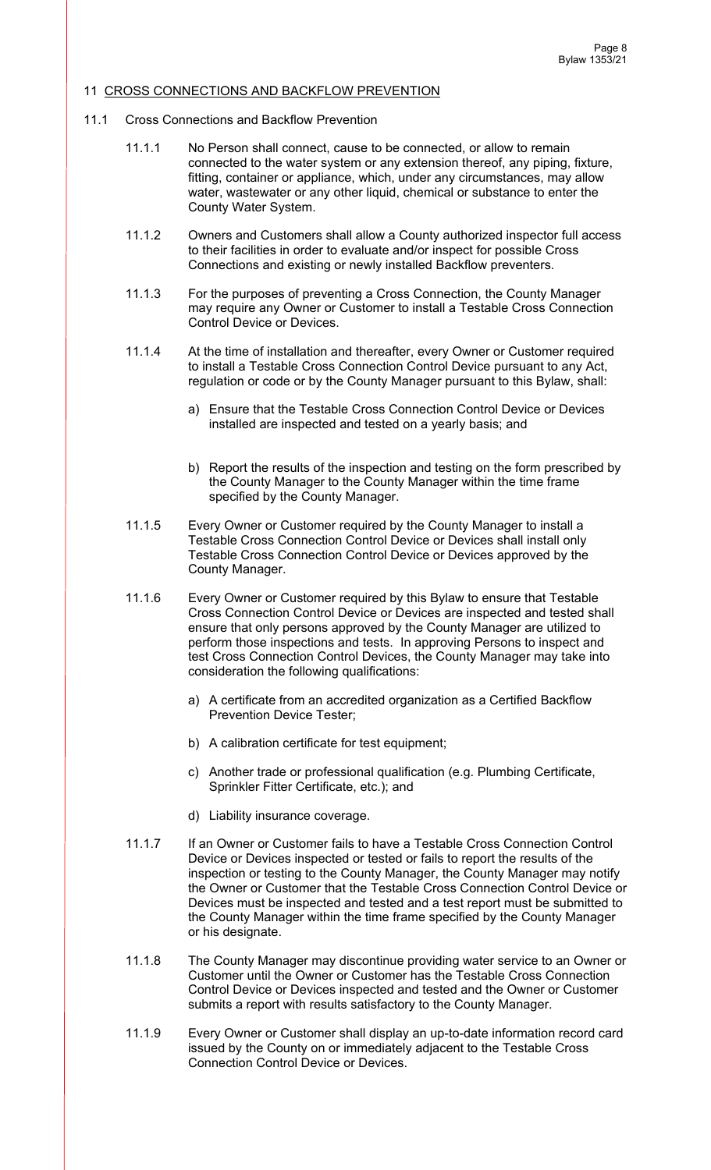## 11 CROSS CONNECTIONS AND BACKFLOW PREVENTION

- 11.1 Cross Connections and Backflow Prevention
	- 11.1.1 No Person shall connect, cause to be connected, or allow to remain connected to the water system or any extension thereof, any piping, fixture, fitting, container or appliance, which, under any circumstances, may allow water, wastewater or any other liquid, chemical or substance to enter the County Water System.
	- 11.1.2 Owners and Customers shall allow a County authorized inspector full access to their facilities in order to evaluate and/or inspect for possible Cross Connections and existing or newly installed Backflow preventers.
	- 11.1.3 For the purposes of preventing a Cross Connection, the County Manager may require any Owner or Customer to install a Testable Cross Connection Control Device or Devices.
	- 11.1.4 At the time of installation and thereafter, every Owner or Customer required to install a Testable Cross Connection Control Device pursuant to any Act, regulation or code or by the County Manager pursuant to this Bylaw, shall:
		- a) Ensure that the Testable Cross Connection Control Device or Devices installed are inspected and tested on a yearly basis; and
		- b) Report the results of the inspection and testing on the form prescribed by the County Manager to the County Manager within the time frame specified by the County Manager.
	- 11.1.5 Every Owner or Customer required by the County Manager to install a Testable Cross Connection Control Device or Devices shall install only Testable Cross Connection Control Device or Devices approved by the County Manager.
	- 11.1.6 Every Owner or Customer required by this Bylaw to ensure that Testable Cross Connection Control Device or Devices are inspected and tested shall ensure that only persons approved by the County Manager are utilized to perform those inspections and tests. In approving Persons to inspect and test Cross Connection Control Devices, the County Manager may take into consideration the following qualifications:
		- a) A certificate from an accredited organization as a Certified Backflow Prevention Device Tester;
		- b) A calibration certificate for test equipment;
		- c) Another trade or professional qualification (e.g. Plumbing Certificate, Sprinkler Fitter Certificate, etc.); and
		- d) Liability insurance coverage.
	- 11.1.7 If an Owner or Customer fails to have a Testable Cross Connection Control Device or Devices inspected or tested or fails to report the results of the inspection or testing to the County Manager, the County Manager may notify the Owner or Customer that the Testable Cross Connection Control Device or Devices must be inspected and tested and a test report must be submitted to the County Manager within the time frame specified by the County Manager or his designate.
	- 11.1.8 The County Manager may discontinue providing water service to an Owner or Customer until the Owner or Customer has the Testable Cross Connection Control Device or Devices inspected and tested and the Owner or Customer submits a report with results satisfactory to the County Manager.
	- 11.1.9 Every Owner or Customer shall display an up-to-date information record card issued by the County on or immediately adjacent to the Testable Cross Connection Control Device or Devices.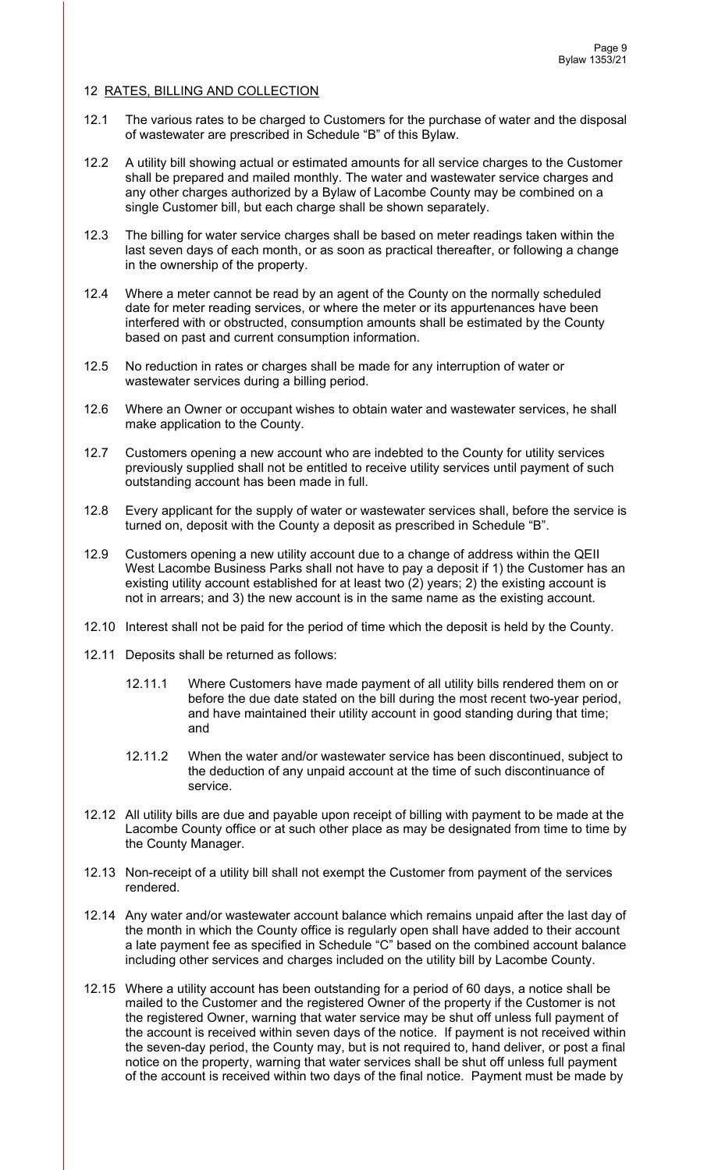## 12 RATES, BILLING AND COLLECTION

- 12.1 The various rates to be charged to Customers for the purchase of water and the disposal of wastewater are prescribed in Schedule "B" of this Bylaw.
- 12.2 A utility bill showing actual or estimated amounts for all service charges to the Customer shall be prepared and mailed monthly. The water and wastewater service charges and any other charges authorized by a Bylaw of Lacombe County may be combined on a single Customer bill, but each charge shall be shown separately.
- 12.3 The billing for water service charges shall be based on meter readings taken within the last seven days of each month, or as soon as practical thereafter, or following a change in the ownership of the property.
- 12.4 Where a meter cannot be read by an agent of the County on the normally scheduled date for meter reading services, or where the meter or its appurtenances have been interfered with or obstructed, consumption amounts shall be estimated by the County based on past and current consumption information.
- 12.5 No reduction in rates or charges shall be made for any interruption of water or wastewater services during a billing period.
- 12.6 Where an Owner or occupant wishes to obtain water and wastewater services, he shall make application to the County.
- 12.7 Customers opening a new account who are indebted to the County for utility services previously supplied shall not be entitled to receive utility services until payment of such outstanding account has been made in full.
- 12.8 Every applicant for the supply of water or wastewater services shall, before the service is turned on, deposit with the County a deposit as prescribed in Schedule "B".
- 12.9 Customers opening a new utility account due to a change of address within the QEII West Lacombe Business Parks shall not have to pay a deposit if 1) the Customer has an existing utility account established for at least two (2) years; 2) the existing account is not in arrears; and 3) the new account is in the same name as the existing account.
- 12.10 Interest shall not be paid for the period of time which the deposit is held by the County.
- 12.11 Deposits shall be returned as follows:
	- 12.11.1 Where Customers have made payment of all utility bills rendered them on or before the due date stated on the bill during the most recent two-year period, and have maintained their utility account in good standing during that time; and
	- 12.11.2 When the water and/or wastewater service has been discontinued, subject to the deduction of any unpaid account at the time of such discontinuance of service.
- 12.12 All utility bills are due and payable upon receipt of billing with payment to be made at the Lacombe County office or at such other place as may be designated from time to time by the County Manager.
- 12.13 Non-receipt of a utility bill shall not exempt the Customer from payment of the services rendered.
- 12.14 Any water and/or wastewater account balance which remains unpaid after the last day of the month in which the County office is regularly open shall have added to their account a late payment fee as specified in Schedule "C" based on the combined account balance including other services and charges included on the utility bill by Lacombe County.
- 12.15 Where a utility account has been outstanding for a period of 60 days, a notice shall be mailed to the Customer and the registered Owner of the property if the Customer is not the registered Owner, warning that water service may be shut off unless full payment of the account is received within seven days of the notice. If payment is not received within the seven-day period, the County may, but is not required to, hand deliver, or post a final notice on the property, warning that water services shall be shut off unless full payment of the account is received within two days of the final notice. Payment must be made by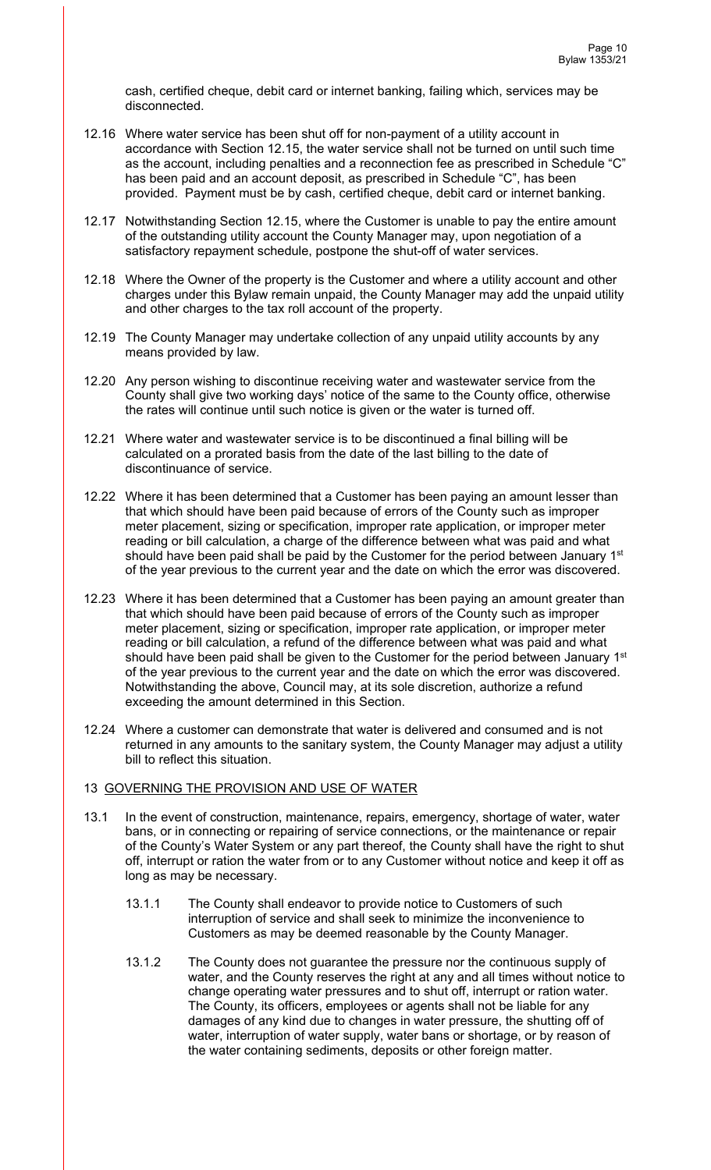cash, certified cheque, debit card or internet banking, failing which, services may be disconnected.

- 12.16 Where water service has been shut off for non-payment of a utility account in accordance with Section 12.15, the water service shall not be turned on until such time as the account, including penalties and a reconnection fee as prescribed in Schedule "C" has been paid and an account deposit, as prescribed in Schedule "C", has been provided. Payment must be by cash, certified cheque, debit card or internet banking.
- 12.17 Notwithstanding Section 12.15, where the Customer is unable to pay the entire amount of the outstanding utility account the County Manager may, upon negotiation of a satisfactory repayment schedule, postpone the shut-off of water services.
- 12.18 Where the Owner of the property is the Customer and where a utility account and other charges under this Bylaw remain unpaid, the County Manager may add the unpaid utility and other charges to the tax roll account of the property.
- 12.19 The County Manager may undertake collection of any unpaid utility accounts by any means provided by law.
- 12.20 Any person wishing to discontinue receiving water and wastewater service from the County shall give two working days' notice of the same to the County office, otherwise the rates will continue until such notice is given or the water is turned off.
- 12.21 Where water and wastewater service is to be discontinued a final billing will be calculated on a prorated basis from the date of the last billing to the date of discontinuance of service.
- 12.22 Where it has been determined that a Customer has been paying an amount lesser than that which should have been paid because of errors of the County such as improper meter placement, sizing or specification, improper rate application, or improper meter reading or bill calculation, a charge of the difference between what was paid and what should have been paid shall be paid by the Customer for the period between January 1st of the year previous to the current year and the date on which the error was discovered.
- 12.23 Where it has been determined that a Customer has been paying an amount greater than that which should have been paid because of errors of the County such as improper meter placement, sizing or specification, improper rate application, or improper meter reading or bill calculation, a refund of the difference between what was paid and what should have been paid shall be given to the Customer for the period between January 1<sup>st</sup> of the year previous to the current year and the date on which the error was discovered. Notwithstanding the above, Council may, at its sole discretion, authorize a refund exceeding the amount determined in this Section.
- 12.24 Where a customer can demonstrate that water is delivered and consumed and is not returned in any amounts to the sanitary system, the County Manager may adjust a utility bill to reflect this situation.

## 13 GOVERNING THE PROVISION AND USE OF WATER

- 13.1 In the event of construction, maintenance, repairs, emergency, shortage of water, water bans, or in connecting or repairing of service connections, or the maintenance or repair of the County's Water System or any part thereof, the County shall have the right to shut off, interrupt or ration the water from or to any Customer without notice and keep it off as long as may be necessary.
	- 13.1.1 The County shall endeavor to provide notice to Customers of such interruption of service and shall seek to minimize the inconvenience to Customers as may be deemed reasonable by the County Manager.
	- 13.1.2 The County does not guarantee the pressure nor the continuous supply of water, and the County reserves the right at any and all times without notice to change operating water pressures and to shut off, interrupt or ration water. The County, its officers, employees or agents shall not be liable for any damages of any kind due to changes in water pressure, the shutting off of water, interruption of water supply, water bans or shortage, or by reason of the water containing sediments, deposits or other foreign matter.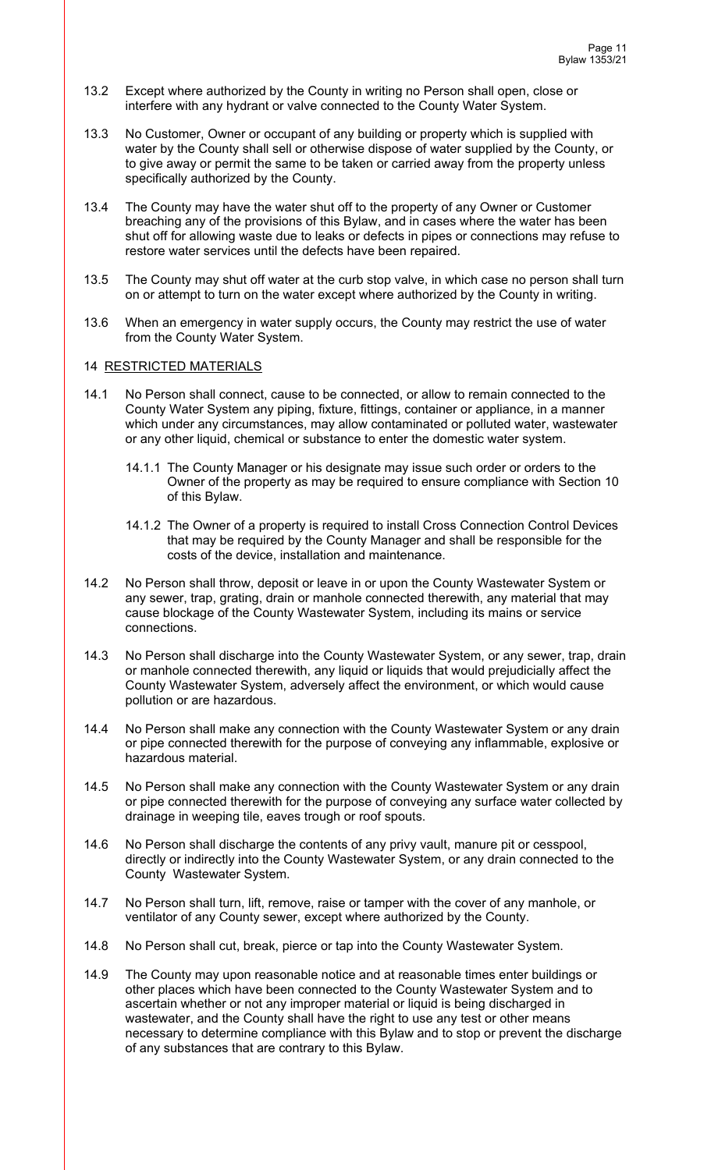- 13.2 Except where authorized by the County in writing no Person shall open, close or interfere with any hydrant or valve connected to the County Water System.
- 13.3 No Customer, Owner or occupant of any building or property which is supplied with water by the County shall sell or otherwise dispose of water supplied by the County, or to give away or permit the same to be taken or carried away from the property unless specifically authorized by the County.
- 13.4 The County may have the water shut off to the property of any Owner or Customer breaching any of the provisions of this Bylaw, and in cases where the water has been shut off for allowing waste due to leaks or defects in pipes or connections may refuse to restore water services until the defects have been repaired.
- 13.5 The County may shut off water at the curb stop valve, in which case no person shall turn on or attempt to turn on the water except where authorized by the County in writing.
- 13.6 When an emergency in water supply occurs, the County may restrict the use of water from the County Water System.

## 14 RESTRICTED MATERIALS

- 14.1 No Person shall connect, cause to be connected, or allow to remain connected to the County Water System any piping, fixture, fittings, container or appliance, in a manner which under any circumstances, may allow contaminated or polluted water, wastewater or any other liquid, chemical or substance to enter the domestic water system.
	- 14.1.1 The County Manager or his designate may issue such order or orders to the Owner of the property as may be required to ensure compliance with Section 10 of this Bylaw.
	- 14.1.2 The Owner of a property is required to install Cross Connection Control Devices that may be required by the County Manager and shall be responsible for the costs of the device, installation and maintenance.
- 14.2 No Person shall throw, deposit or leave in or upon the County Wastewater System or any sewer, trap, grating, drain or manhole connected therewith, any material that may cause blockage of the County Wastewater System, including its mains or service connections.
- 14.3 No Person shall discharge into the County Wastewater System, or any sewer, trap, drain or manhole connected therewith, any liquid or liquids that would prejudicially affect the County Wastewater System, adversely affect the environment, or which would cause pollution or are hazardous.
- 14.4 No Person shall make any connection with the County Wastewater System or any drain or pipe connected therewith for the purpose of conveying any inflammable, explosive or hazardous material.
- 14.5 No Person shall make any connection with the County Wastewater System or any drain or pipe connected therewith for the purpose of conveying any surface water collected by drainage in weeping tile, eaves trough or roof spouts.
- 14.6 No Person shall discharge the contents of any privy vault, manure pit or cesspool, directly or indirectly into the County Wastewater System, or any drain connected to the County Wastewater System.
- 14.7 No Person shall turn, lift, remove, raise or tamper with the cover of any manhole, or ventilator of any County sewer, except where authorized by the County.
- 14.8 No Person shall cut, break, pierce or tap into the County Wastewater System.
- 14.9 The County may upon reasonable notice and at reasonable times enter buildings or other places which have been connected to the County Wastewater System and to ascertain whether or not any improper material or liquid is being discharged in wastewater, and the County shall have the right to use any test or other means necessary to determine compliance with this Bylaw and to stop or prevent the discharge of any substances that are contrary to this Bylaw.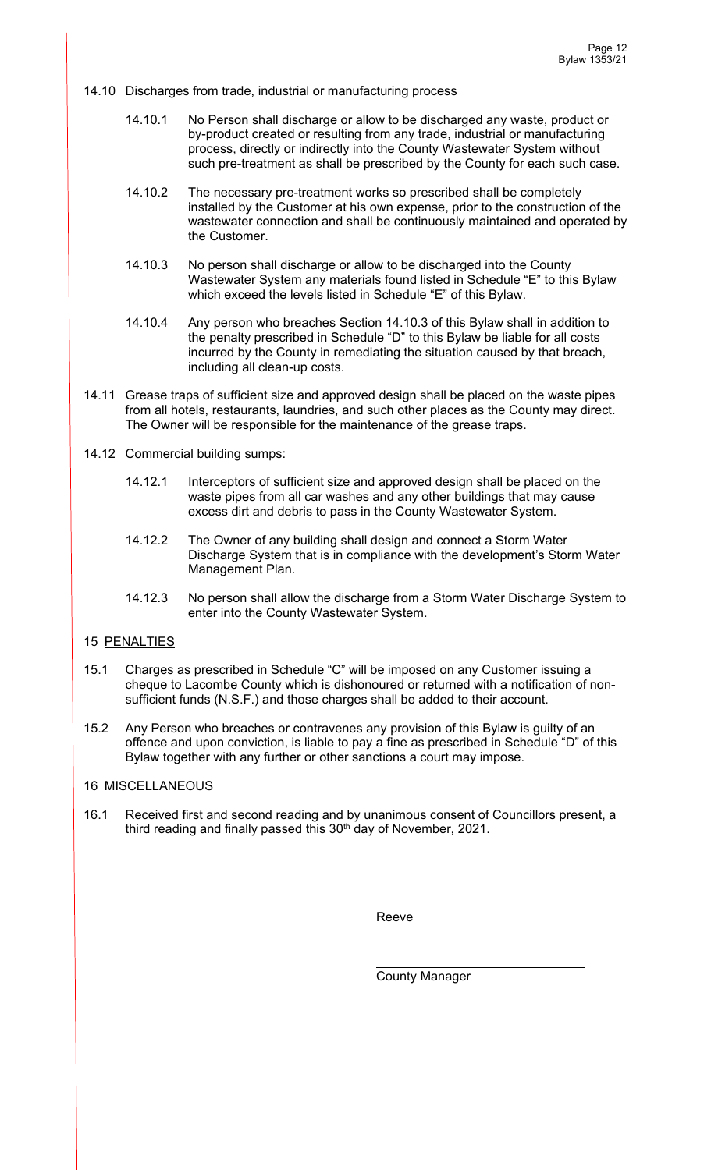14.10 Discharges from trade, industrial or manufacturing process

- 14.10.1 No Person shall discharge or allow to be discharged any waste, product or by-product created or resulting from any trade, industrial or manufacturing process, directly or indirectly into the County Wastewater System without such pre-treatment as shall be prescribed by the County for each such case.
- 14.10.2 The necessary pre-treatment works so prescribed shall be completely installed by the Customer at his own expense, prior to the construction of the wastewater connection and shall be continuously maintained and operated by the Customer.
- 14.10.3 No person shall discharge or allow to be discharged into the County Wastewater System any materials found listed in Schedule "E" to this Bylaw which exceed the levels listed in Schedule "E" of this Bylaw.
- 14.10.4 Any person who breaches Section 14.10.3 of this Bylaw shall in addition to the penalty prescribed in Schedule "D" to this Bylaw be liable for all costs incurred by the County in remediating the situation caused by that breach, including all clean-up costs.
- 14.11 Grease traps of sufficient size and approved design shall be placed on the waste pipes from all hotels, restaurants, laundries, and such other places as the County may direct. The Owner will be responsible for the maintenance of the grease traps.
- 14.12 Commercial building sumps:
	- 14.12.1 Interceptors of sufficient size and approved design shall be placed on the waste pipes from all car washes and any other buildings that may cause excess dirt and debris to pass in the County Wastewater System.
	- 14.12.2 The Owner of any building shall design and connect a Storm Water Discharge System that is in compliance with the development's Storm Water Management Plan.
	- 14.12.3 No person shall allow the discharge from a Storm Water Discharge System to enter into the County Wastewater System.

## 15 PENALTIES

- 15.1 Charges as prescribed in Schedule "C" will be imposed on any Customer issuing a cheque to Lacombe County which is dishonoured or returned with a notification of nonsufficient funds (N.S.F.) and those charges shall be added to their account.
- 15.2 Any Person who breaches or contravenes any provision of this Bylaw is guilty of an offence and upon conviction, is liable to pay a fine as prescribed in Schedule "D" of this Bylaw together with any further or other sanctions a court may impose.

# 16 MISCELLANEOUS

16.1 Received first and second reading and by unanimous consent of Councillors present, a third reading and finally passed this  $30<sup>th</sup>$  day of November, 2021.

**Reeve** Reeve

County Manager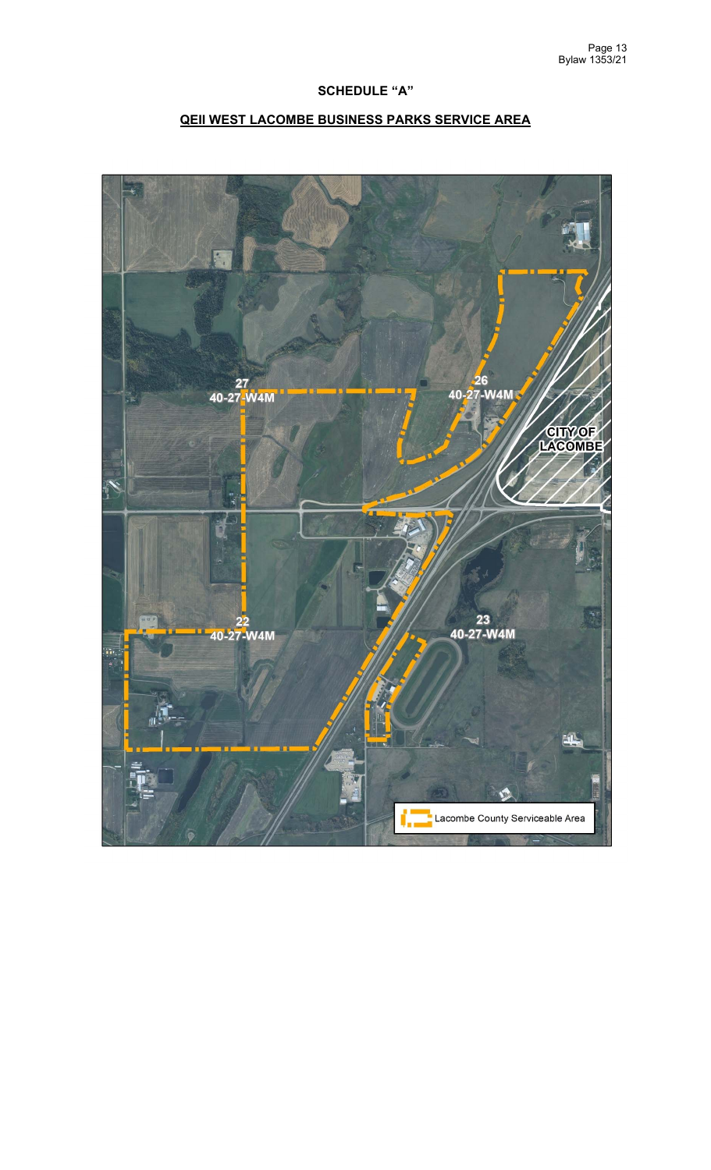# **SCHEDULE "A"**

# **QEII WEST LACOMBE BUSINESS PARKS SERVICE AREA**

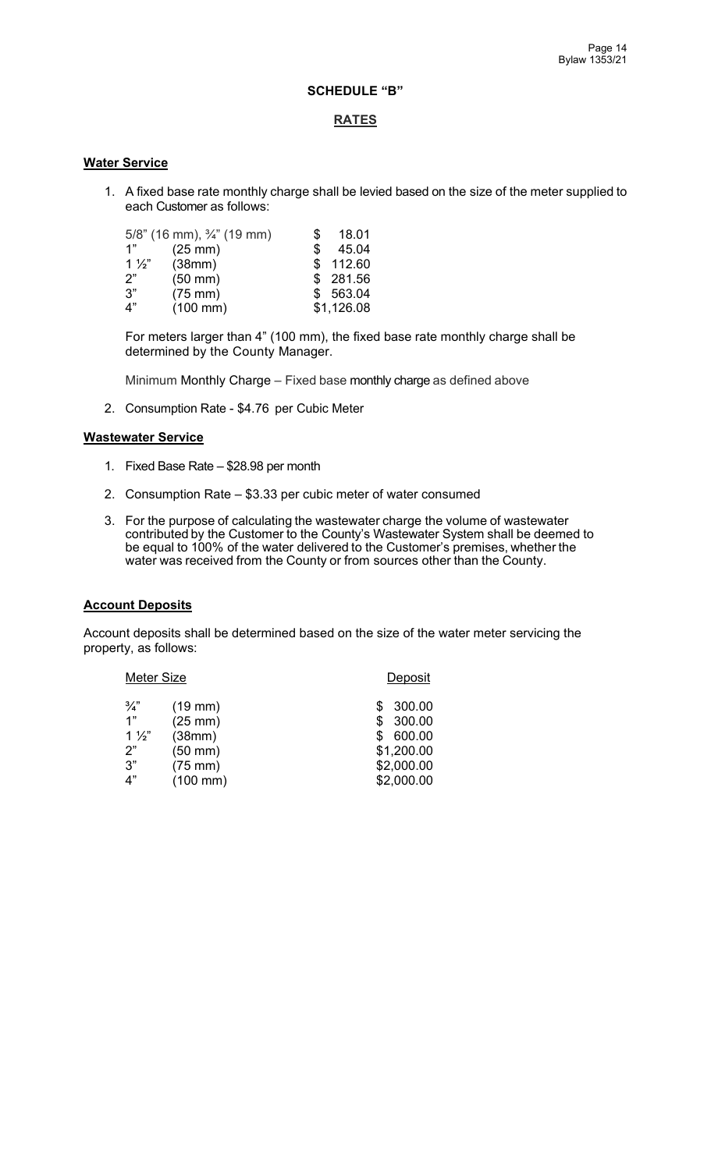## **SCHEDULE "B"**

### **RATES**

### **Water Service**

1. A fixed base rate monthly charge shall be levied based on the size of the meter supplied to each Customer as follows:

|                | $5/8$ " (16 mm), $\frac{3}{4}$ " (19 mm) | S.  | 18.01      |
|----------------|------------------------------------------|-----|------------|
| 1"             | $(25$ mm $)$                             | \$. | 45.04      |
| $1\frac{1}{2}$ | (38mm)                                   |     | \$112.60   |
| 2"             | $(50$ mm $)$                             |     | \$281.56   |
| 3"             | $(75$ mm $)$                             |     | \$563.04   |
| 4"             | $(100 \, \text{mm})$                     |     | \$1,126.08 |

For meters larger than 4" (100 mm), the fixed base rate monthly charge shall be determined by the County Manager.

Minimum Monthly Charge – Fixed base monthly charge as defined above

2. Consumption Rate - \$4.76 per Cubic Meter

#### **Wastewater Service**

- 1. Fixed Base Rate \$28.98 per month
- 2. Consumption Rate \$3.33 per cubic meter of water consumed
- 3. For the purpose of calculating the wastewater charge the volume of wastewater contributed by the Customer to the County's Wastewater System shall be deemed to be equal to 100% of the water delivered to the Customer's premises, whether the water was received from the County or from sources other than the County.

## **Account Deposits**

Account deposits shall be determined based on the size of the water meter servicing the property, as follows:

| Meter Size     |                      | Deposit    |
|----------------|----------------------|------------|
| $\frac{3}{4}$  | $(19$ mm $)$         | 300.00     |
| 1"             | $(25$ mm $)$         | 300.00     |
| $1\frac{1}{2}$ | (38mm)               | 600.00     |
| 2"             | $(50$ mm $)$         | \$1,200.00 |
| 3"             | $(75$ mm $)$         | \$2,000.00 |
| 4"             | $(100 \, \text{mm})$ | \$2,000.00 |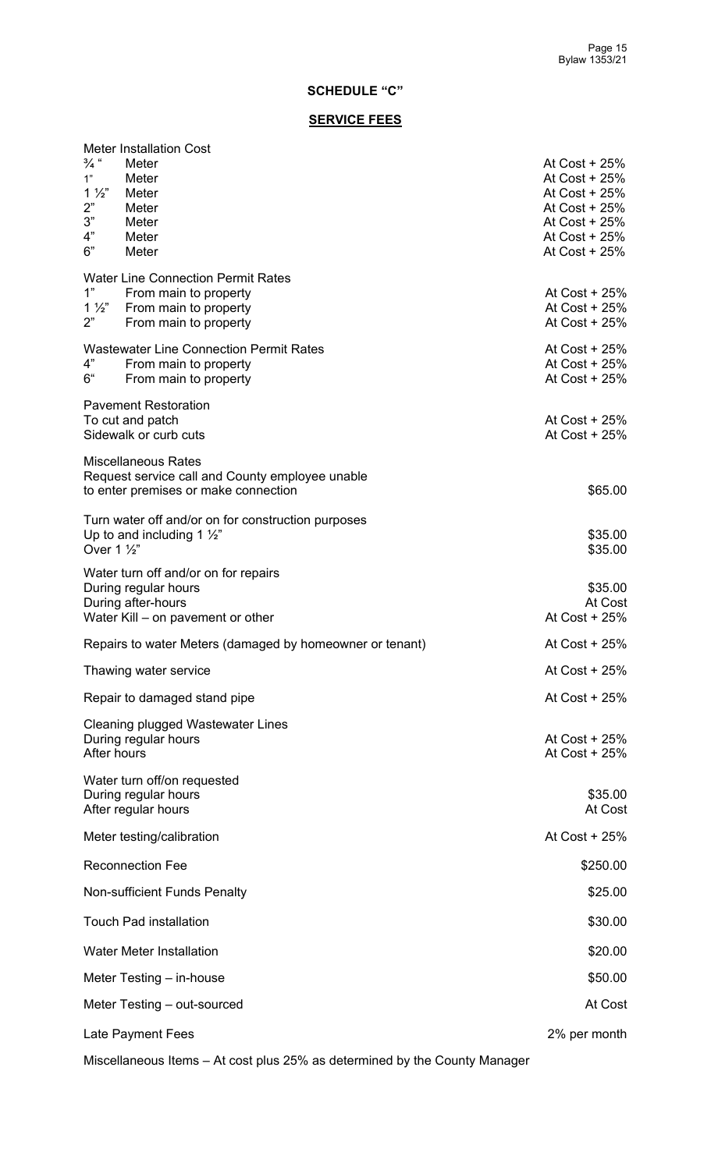# **SCHEDULE "C"**

# **SERVICE FEES**

| <b>Meter Installation Cost</b><br>$\frac{3}{4}$ "<br>Meter<br>Meter<br>1"<br>$1\frac{1}{2}$<br>Meter<br>2"<br>Meter<br>3"<br>Meter<br>4"<br>Meter<br>6"<br>Meter | At Cost $+25%$<br>At Cost + 25%<br>At $Cost + 25%$<br>At Cost + 25%<br>At Cost $+25%$<br>At Cost $+25%$<br>At Cost $+25%$ |
|------------------------------------------------------------------------------------------------------------------------------------------------------------------|---------------------------------------------------------------------------------------------------------------------------|
| <b>Water Line Connection Permit Rates</b><br>1"<br>From main to property<br>$1\frac{1}{2}$<br>From main to property<br>2"<br>From main to property               | At Cost + 25%<br>At Cost + 25%<br>At Cost $+25%$                                                                          |
| <b>Wastewater Line Connection Permit Rates</b><br>4"<br>From main to property<br>6"<br>From main to property                                                     | At Cost $+25%$<br>At Cost $+25%$<br>At Cost $+25%$                                                                        |
| <b>Pavement Restoration</b><br>To cut and patch<br>Sidewalk or curb cuts                                                                                         | At Cost $+25%$<br>At Cost + 25%                                                                                           |
| <b>Miscellaneous Rates</b><br>Request service call and County employee unable<br>to enter premises or make connection                                            | \$65.00                                                                                                                   |
| Turn water off and/or on for construction purposes<br>Up to and including 1 $\frac{1}{2}$ "<br>Over 1 1/2"                                                       | \$35.00<br>\$35.00                                                                                                        |
| Water turn off and/or on for repairs<br>During regular hours<br>During after-hours<br>Water Kill – on pavement or other                                          | \$35.00<br>At Cost<br>At Cost + 25%                                                                                       |
| Repairs to water Meters (damaged by homeowner or tenant)                                                                                                         | At Cost + 25%                                                                                                             |
| Thawing water service                                                                                                                                            | At Cost + 25%                                                                                                             |
| Repair to damaged stand pipe                                                                                                                                     | At Cost + 25%                                                                                                             |
| Cleaning plugged Wastewater Lines<br>During regular hours<br>After hours                                                                                         | At Cost + 25%<br>At Cost $+25%$                                                                                           |
| Water turn off/on requested<br>During regular hours<br>After regular hours                                                                                       | \$35.00<br>At Cost                                                                                                        |
| Meter testing/calibration                                                                                                                                        | At Cost + 25%                                                                                                             |
| <b>Reconnection Fee</b>                                                                                                                                          | \$250.00                                                                                                                  |
| Non-sufficient Funds Penalty                                                                                                                                     | \$25.00                                                                                                                   |
| <b>Touch Pad installation</b>                                                                                                                                    | \$30.00                                                                                                                   |
| <b>Water Meter Installation</b>                                                                                                                                  | \$20.00                                                                                                                   |
| Meter Testing – in-house                                                                                                                                         | \$50.00                                                                                                                   |
| Meter Testing – out-sourced                                                                                                                                      | At Cost                                                                                                                   |
| Late Payment Fees                                                                                                                                                | 2% per month                                                                                                              |

Miscellaneous Items – At cost plus 25% as determined by the County Manager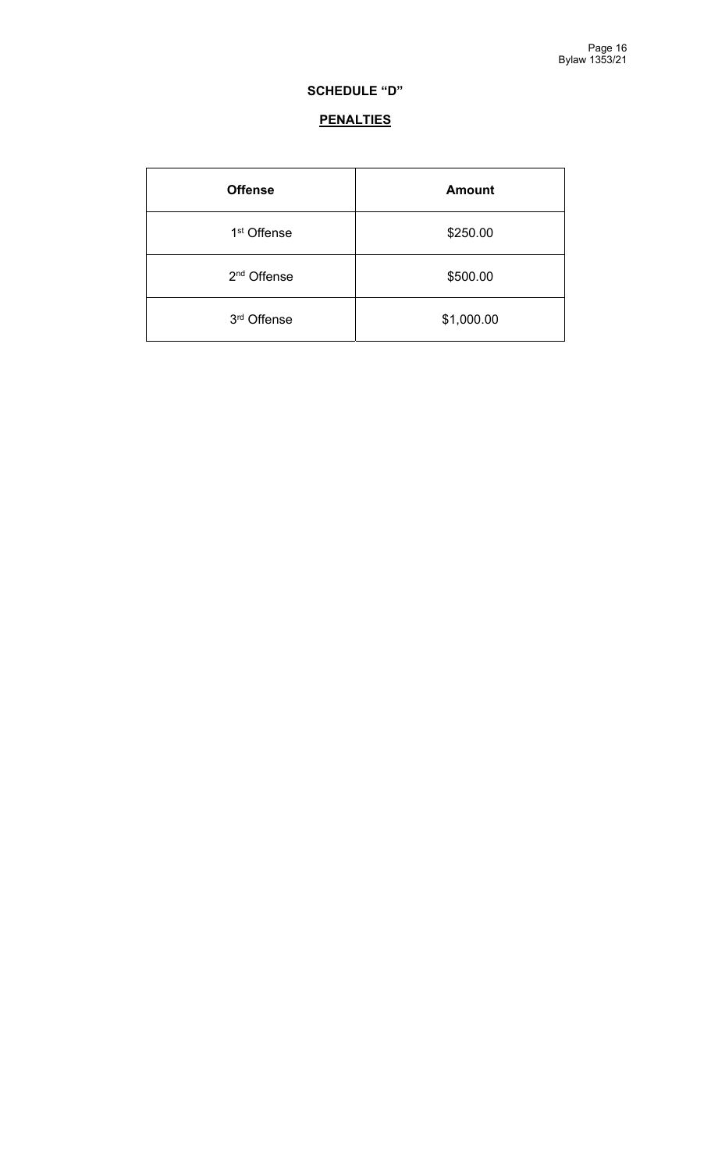# **SCHEDULE "D"**

# **PENALTIES**

| <b>Offense</b>          | <b>Amount</b> |
|-------------------------|---------------|
| 1 <sup>st</sup> Offense | \$250.00      |
| 2 <sup>nd</sup> Offense | \$500.00      |
| 3rd Offense             | \$1,000.00    |